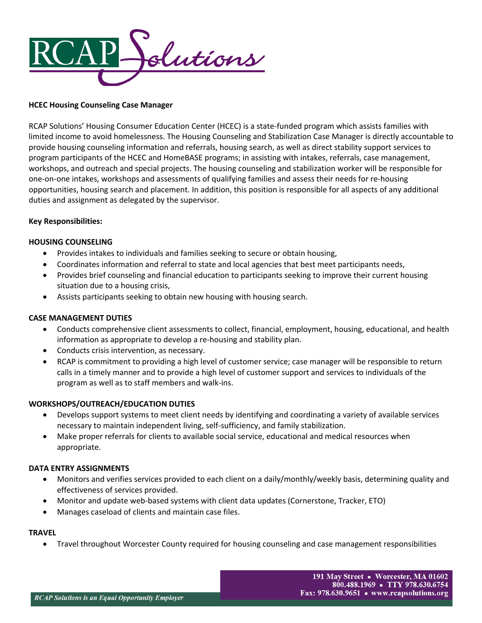

# **HCEC Housing Counseling Case Manager**

RCAP Solutions' Housing Consumer Education Center (HCEC) is a state-funded program which assists families with limited income to avoid homelessness. The Housing Counseling and Stabilization Case Manager is directly accountable to provide housing counseling information and referrals, housing search, as well as direct stability support services to program participants of the HCEC and HomeBASE programs; in assisting with intakes, referrals, case management, workshops, and outreach and special projects. The housing counseling and stabilization worker will be responsible for one-on-one intakes, workshops and assessments of qualifying families and assess their needs for re-housing opportunities, housing search and placement. In addition, this position is responsible for all aspects of any additional duties and assignment as delegated by the supervisor.

### **Key Responsibilities:**

## **HOUSING COUNSELING**

- Provides intakes to individuals and families seeking to secure or obtain housing,
- Coordinates information and referral to state and local agencies that best meet participants needs,
- Provides brief counseling and financial education to participants seeking to improve their current housing situation due to a housing crisis,
- Assists participants seeking to obtain new housing with housing search.

### **CASE MANAGEMENT DUTIES**

- Conducts comprehensive client assessments to collect, financial, employment, housing, educational, and health information as appropriate to develop a re-housing and stability plan.
- Conducts crisis intervention, as necessary.
- RCAP is commitment to providing a high level of customer service; case manager will be responsible to return calls in a timely manner and to provide a high level of customer support and services to individuals of the program as well as to staff members and walk-ins.

### **WORKSHOPS/OUTREACH/EDUCATION DUTIES**

- Develops support systems to meet client needs by identifying and coordinating a variety of available services necessary to maintain independent living, self-sufficiency, and family stabilization.
- Make proper referrals for clients to available social service, educational and medical resources when appropriate.

### **DATA ENTRY ASSIGNMENTS**

- Monitors and verifies services provided to each client on a daily/monthly/weekly basis, determining quality and effectiveness of services provided.
- Monitor and update web-based systems with client data updates (Cornerstone, Tracker, ETO)
- Manages caseload of clients and maintain case files.

### **TRAVEL**

• Travel throughout Worcester County required for housing counseling and case management responsibilities